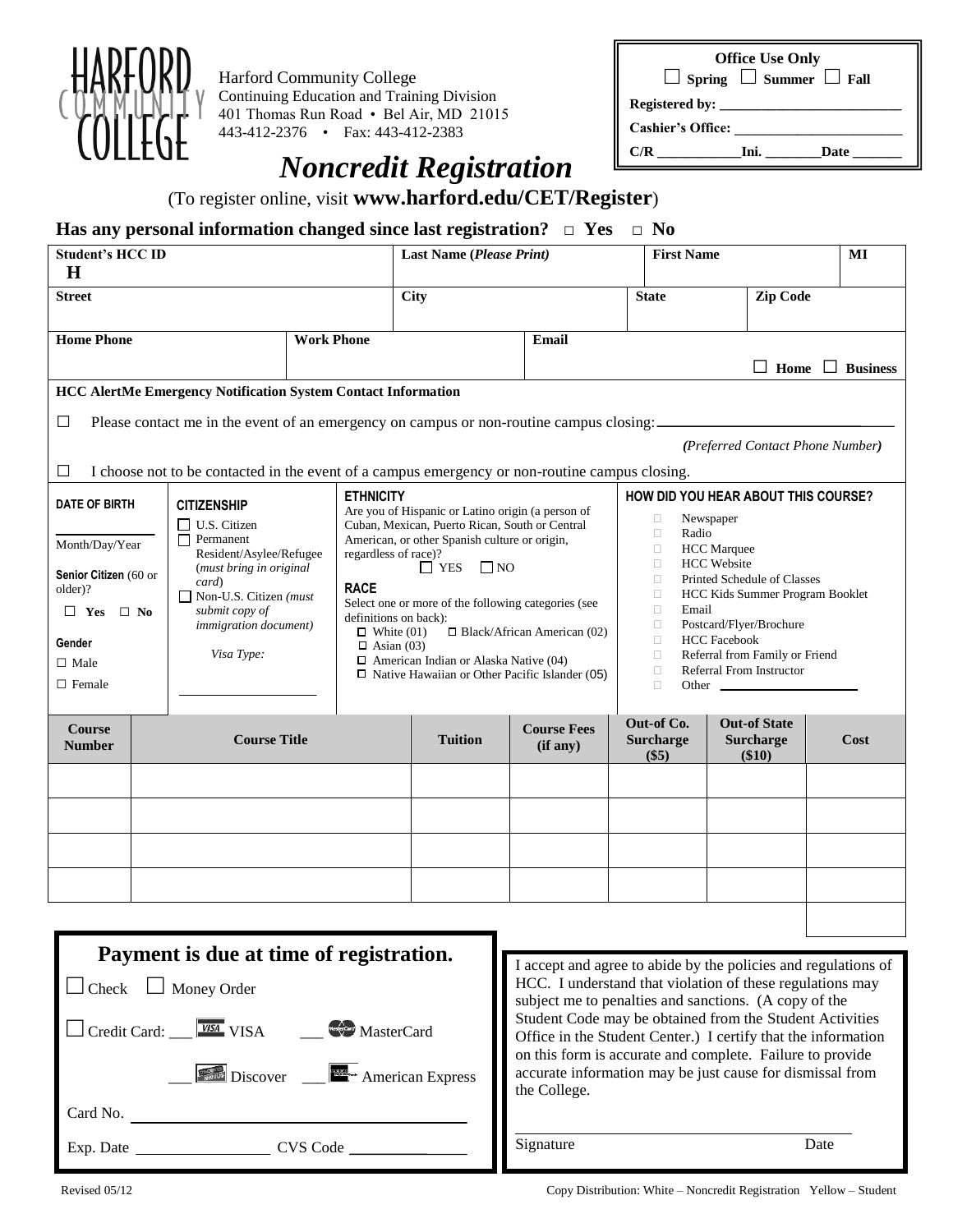

Harford Community College Continuing Education and Training Division 401 Thomas Run Road • Bel Air, MD 21015 443-412-2376 • Fax: 443-412-2383

**Office Use Only □ Spring □ Summer □ Fall Registered by: Cashier's Office: \_\_\_\_\_\_\_\_\_\_\_\_\_\_\_\_\_\_\_\_\_\_\_\_**  C/R \_\_\_\_\_\_\_\_\_\_\_\_\_\_Ini. \_\_\_\_\_\_\_\_\_\_Date

## *Noncredit Registration*

(To register online, visit **www.harford.edu/CET/Register**)

## **Has any personal information changed since last registration?** □ **Yes** □ **No**

| <b>Student's HCC ID</b><br>$\mathbf H$                                                                                                                                                                                                                                                                                                                                           |                     |                   | Last Name (Please Print)                                                                                                                                                                                                                                                                                                                                                                                                                                                                                |                                | <b>First Name</b>                                                                                                                                                                                                                                                                                                                                                                                        |                                                  | MI                          |
|----------------------------------------------------------------------------------------------------------------------------------------------------------------------------------------------------------------------------------------------------------------------------------------------------------------------------------------------------------------------------------|---------------------|-------------------|---------------------------------------------------------------------------------------------------------------------------------------------------------------------------------------------------------------------------------------------------------------------------------------------------------------------------------------------------------------------------------------------------------------------------------------------------------------------------------------------------------|--------------------------------|----------------------------------------------------------------------------------------------------------------------------------------------------------------------------------------------------------------------------------------------------------------------------------------------------------------------------------------------------------------------------------------------------------|--------------------------------------------------|-----------------------------|
| <b>Street</b>                                                                                                                                                                                                                                                                                                                                                                    |                     |                   | <b>City</b>                                                                                                                                                                                                                                                                                                                                                                                                                                                                                             |                                | <b>State</b>                                                                                                                                                                                                                                                                                                                                                                                             | <b>Zip Code</b>                                  |                             |
| <b>Home Phone</b>                                                                                                                                                                                                                                                                                                                                                                |                     | <b>Work Phone</b> |                                                                                                                                                                                                                                                                                                                                                                                                                                                                                                         |                                |                                                                                                                                                                                                                                                                                                                                                                                                          |                                                  | $\Box$ Home $\Box$ Business |
| <b>HCC AlertMe Emergency Notification System Contact Information</b><br>Please contact me in the event of an emergency on campus or non-routine campus closing:<br>□<br>(Preferred Contact Phone Number)<br>I choose not to be contacted in the event of a campus emergency or non-routine campus closing.<br>⊔                                                                  |                     |                   |                                                                                                                                                                                                                                                                                                                                                                                                                                                                                                         |                                |                                                                                                                                                                                                                                                                                                                                                                                                          |                                                  |                             |
| <b>DATE OF BIRTH</b><br><b>CITIZENSHIP</b><br>$\Box$ U.S. Citizen<br>$\Box$ Permanent<br>Month/Day/Year<br>Resident/Asylee/Refugee<br>(must bring in original<br>Senior Citizen (60 or<br>card)<br>older)?<br>$\Box$ Non-U.S. Citizen ( <i>must</i> )<br>submit copy of<br>$\Box$ Yes $\Box$ No<br>immigration document)<br>Gender<br>Visa Type:<br>$\Box$ Male<br>$\Box$ Female |                     | <b>RACE</b>       | <b>ETHNICITY</b><br>Are you of Hispanic or Latino origin (a person of<br>Cuban, Mexican, Puerto Rican, South or Central<br>American, or other Spanish culture or origin,<br>regardless of race)?<br>$\Box$ YES<br>$\square$ NO<br>Select one or more of the following categories (see<br>definitions on back):<br>$\Box$ Black/African American (02)<br>$\Box$ White (01)<br>$\Box$ Asian (03)<br>$\Box$ American Indian or Alaska Native (04)<br>$\Box$ Native Hawaiian or Other Pacific Islander (05) |                                | HOW DID YOU HEAR ABOUT THIS COURSE?<br>O<br>Newspaper<br>Radio<br>$\Box$<br>П<br><b>HCC</b> Marquee<br><b>HCC</b> Website<br>$\Box$<br>$\Box$<br>Printed Schedule of Classes<br>HCC Kids Summer Program Booklet<br>$\Box$<br>Email<br>$\Box$<br>$\Box$<br>Postcard/Flyer/Brochure<br><b>HCC</b> Facebook<br>n<br>$\Box$<br>Referral from Family or Friend<br>Referral From Instructor<br>П<br>П<br>Other |                                                  |                             |
| <b>Course</b><br><b>Number</b>                                                                                                                                                                                                                                                                                                                                                   | <b>Course Title</b> |                   | <b>Tuition</b>                                                                                                                                                                                                                                                                                                                                                                                                                                                                                          | <b>Course Fees</b><br>(if any) | Out-of Co.<br><b>Surcharge</b><br>(S5)                                                                                                                                                                                                                                                                                                                                                                   | <b>Out-of State</b><br><b>Surcharge</b><br>\$10) | Cost                        |
|                                                                                                                                                                                                                                                                                                                                                                                  |                     |                   |                                                                                                                                                                                                                                                                                                                                                                                                                                                                                                         |                                |                                                                                                                                                                                                                                                                                                                                                                                                          |                                                  |                             |
|                                                                                                                                                                                                                                                                                                                                                                                  |                     |                   |                                                                                                                                                                                                                                                                                                                                                                                                                                                                                                         |                                |                                                                                                                                                                                                                                                                                                                                                                                                          |                                                  |                             |
|                                                                                                                                                                                                                                                                                                                                                                                  |                     |                   |                                                                                                                                                                                                                                                                                                                                                                                                                                                                                                         |                                |                                                                                                                                                                                                                                                                                                                                                                                                          |                                                  |                             |

| I accept and agree to abide by the policies and regulations of                                                                                                                                                                                      |  |  |
|-----------------------------------------------------------------------------------------------------------------------------------------------------------------------------------------------------------------------------------------------------|--|--|
| HCC. I understand that violation of these regulations may<br>subject me to penalties and sanctions. (A copy of the                                                                                                                                  |  |  |
| Student Code may be obtained from the Student Activities<br>Office in the Student Center.) I certify that the information<br>on this form is accurate and complete. Failure to provide<br>accurate information may be just cause for dismissal from |  |  |
| the College.                                                                                                                                                                                                                                        |  |  |
|                                                                                                                                                                                                                                                     |  |  |
| Signature<br>Date                                                                                                                                                                                                                                   |  |  |
| <b>Exercise</b> Discover ___ <b>Exercise</b> American Express                                                                                                                                                                                       |  |  |